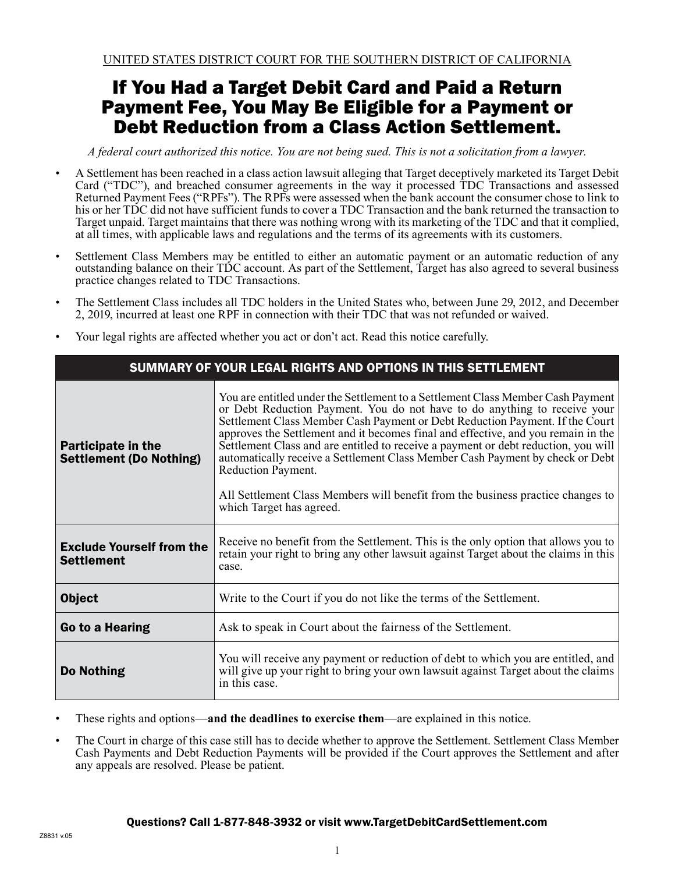# If You Had a Target Debit Card and Paid a Return Payment Fee, You May Be Eligible for a Payment or Debt Reduction from a Class Action Settlement.

*A federal court authorized this notice. You are not being sued. This is not a solicitation from a lawyer.*

- A Settlement has been reached in a class action lawsuit alleging that Target deceptively marketed its Target Debit Card ("TDC"), and breached consumer agreements in the way it processed TDC Transactions and assessed Returned Payment Fees ("RPFs"). The RPFs were assessed when the bank account the consumer chose to link to his or her TDC did not have sufficient funds to cover a TDC Transaction and the bank returned the transaction to Target unpaid. Target maintains that there was nothing wrong with its marketing of the TDC and that it complied, at all times, with applicable laws and regulations and the terms of its agreements with its customers.
- Settlement Class Members may be entitled to either an automatic payment or an automatic reduction of any outstanding balance on their TDC account. As part of the Settlement, Target has also agreed to several business practice changes related to TDC Transactions.
- The Settlement Class includes all TDC holders in the United States who, between June 29, 2012, and December 2, 2019, incurred at least one RPF in connection with their TDC that was not refunded or waived.
- Your legal rights are affected whether you act or don't act. Read this notice carefully.

| SUMMARY OF YOUR LEGAL RIGHTS AND OPTIONS IN THIS SETTLEMENT |                                                                                                                                                                                                                                                                                                                                                                                                                                                                                                                                                                                                                                               |  |
|-------------------------------------------------------------|-----------------------------------------------------------------------------------------------------------------------------------------------------------------------------------------------------------------------------------------------------------------------------------------------------------------------------------------------------------------------------------------------------------------------------------------------------------------------------------------------------------------------------------------------------------------------------------------------------------------------------------------------|--|
| <b>Participate in the</b><br><b>Settlement (Do Nothing)</b> | You are entitled under the Settlement to a Settlement Class Member Cash Payment<br>or Debt Reduction Payment. You do not have to do anything to receive your<br>Settlement Class Member Cash Payment or Debt Reduction Payment. If the Court<br>approves the Settlement and it becomes final and effective, and you remain in the<br>Settlement Class and are entitled to receive a payment or debt reduction, you will<br>automatically receive a Settlement Class Member Cash Payment by check or Debt<br>Reduction Payment.<br>All Settlement Class Members will benefit from the business practice changes to<br>which Target has agreed. |  |
| <b>Exclude Yourself from the</b><br><b>Settlement</b>       | Receive no benefit from the Settlement. This is the only option that allows you to<br>retain your right to bring any other lawsuit against Target about the claims in this<br>case.                                                                                                                                                                                                                                                                                                                                                                                                                                                           |  |
| <b>Object</b>                                               | Write to the Court if you do not like the terms of the Settlement.                                                                                                                                                                                                                                                                                                                                                                                                                                                                                                                                                                            |  |
| Go to a Hearing                                             | Ask to speak in Court about the fairness of the Settlement.                                                                                                                                                                                                                                                                                                                                                                                                                                                                                                                                                                                   |  |
| Do Nothing                                                  | You will receive any payment or reduction of debt to which you are entitled, and<br>will give up your right to bring your own lawsuit against Target about the claims<br>in this case.                                                                                                                                                                                                                                                                                                                                                                                                                                                        |  |

• These rights and options—**and the deadlines to exercise them**—are explained in this notice.

• The Court in charge of this case still has to decide whether to approve the Settlement. Settlement Class Member Cash Payments and Debt Reduction Payments will be provided if the Court approves the Settlement and after any appeals are resolved. Please be patient.

#### Questions? Call 1-877-848-3932 or visit www.TargetDebitCardSettlement.com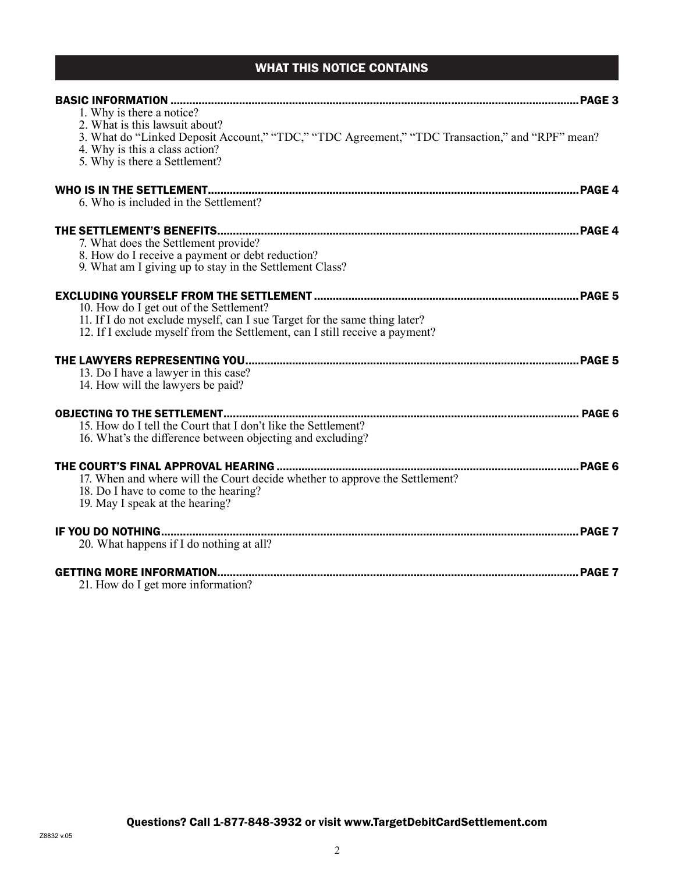# WHAT THIS NOTICE CONTAINS

| 1. Why is there a notice?<br>2. What is this lawsuit about?<br>3. What do "Linked Deposit Account," "TDC," "TDC Agreement," "TDC Transaction," and "RPF" mean?<br>4. Why is this a class action?<br>5. Why is there a Settlement? |  |
|-----------------------------------------------------------------------------------------------------------------------------------------------------------------------------------------------------------------------------------|--|
| 6. Who is included in the Settlement?                                                                                                                                                                                             |  |
| 7. What does the Settlement provide?<br>8. How do I receive a payment or debt reduction?<br>9. What am I giving up to stay in the Settlement Class?                                                                               |  |
| 10. How do I get out of the Settlement?<br>11. If I do not exclude myself, can I sue Target for the same thing later?<br>12. If I exclude myself from the Settlement, can I still receive a payment?                              |  |
| 13. Do I have a lawyer in this case?<br>14. How will the lawyers be paid?                                                                                                                                                         |  |
| 15. How do I tell the Court that I don't like the Settlement?<br>16. What's the difference between objecting and excluding?                                                                                                       |  |
| 17. When and where will the Court decide whether to approve the Settlement?<br>18. Do I have to come to the hearing?<br>19. May I speak at the hearing?                                                                           |  |
| 20. What happens if I do nothing at all?                                                                                                                                                                                          |  |
| 21. How do I get more information?                                                                                                                                                                                                |  |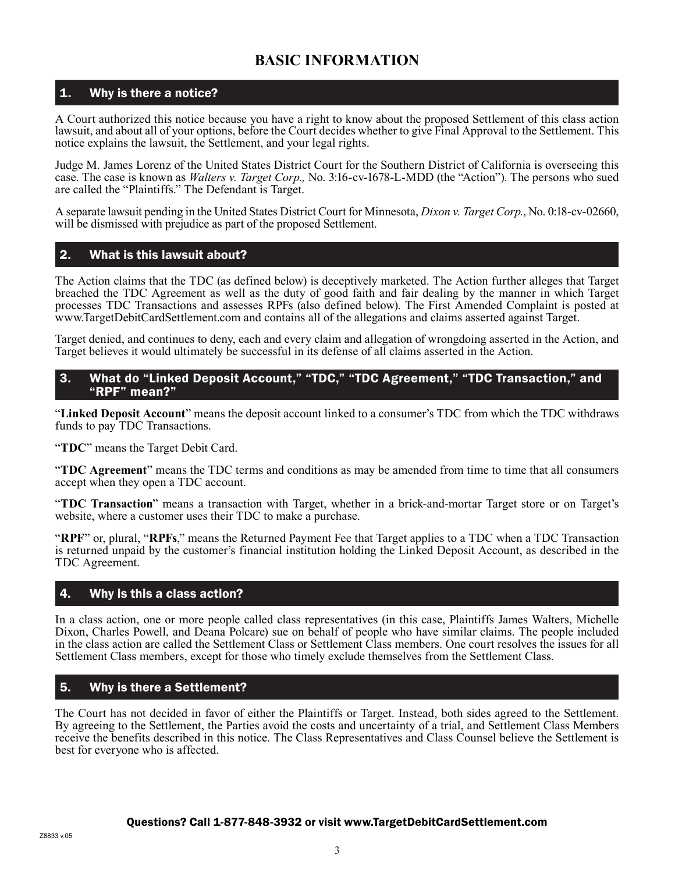# **BASIC INFORMATION**

### 1. Why is there a notice?

A Court authorized this notice because you have a right to know about the proposed Settlement of this class action lawsuit, and about all of your options, before the Court decides whether to give Final Approval to the Settlement. This notice explains the lawsuit, the Settlement, and your legal rights.

Judge M. James Lorenz of the United States District Court for the Southern District of California is overseeing this case. The case is known as *Walters v. Target Corp.,* No. 3:16-cv-1678-L-MDD (the "Action"). The persons who sued are called the "Plaintiffs." The Defendant is Target.

A separate lawsuit pending in the United States District Court for Minnesota, *Dixon v. Target Corp.*, No. 0:18-cv-02660, will be dismissed with prejudice as part of the proposed Settlement.

#### 2. What is this lawsuit about?

The Action claims that the TDC (as defined below) is deceptively marketed. The Action further alleges that Target breached the TDC Agreement as well as the duty of good faith and fair dealing by the manner in which Target processes TDC Transactions and assesses RPFs (also defined below). The First Amended Complaint is posted at www.TargetDebitCardSettlement.com and contains all of the allegations and claims asserted against Target.

Target denied, and continues to deny, each and every claim and allegation of wrongdoing asserted in the Action, and Target believes it would ultimately be successful in its defense of all claims asserted in the Action.

#### 3. What do "Linked Deposit Account," "TDC," "TDC Agreement," "TDC Transaction," and "RPF" mean?"

"**Linked Deposit Account**" means the deposit account linked to a consumer's TDC from which the TDC withdraws funds to pay TDC Transactions.

"**TDC**" means the Target Debit Card.

"**TDC Agreement**" means the TDC terms and conditions as may be amended from time to time that all consumers accept when they open a TDC account.

"**TDC Transaction**" means a transaction with Target, whether in a brick-and-mortar Target store or on Target's website, where a customer uses their TDC to make a purchase.

"**RPF**" or, plural, "**RPFs**," means the Returned Payment Fee that Target applies to a TDC when a TDC Transaction is returned unpaid by the customer's financial institution holding the Linked Deposit Account, as described in the TDC Agreement.

### 4. Why is this a class action?

In a class action, one or more people called class representatives (in this case, Plaintiffs James Walters, Michelle Dixon, Charles Powell, and Deana Polcare) sue on behalf of people who have similar claims. The people included in the class action are called the Settlement Class or Settlement Class members. One court resolves the issues for all Settlement Class members, except for those who timely exclude themselves from the Settlement Class.

#### 5. Why is there a Settlement?

The Court has not decided in favor of either the Plaintiffs or Target. Instead, both sides agreed to the Settlement. By agreeing to the Settlement, the Parties avoid the costs and uncertainty of a trial, and Settlement Class Members receive the benefits described in this notice. The Class Representatives and Class Counsel believe the Settlement is best for everyone who is affected.

#### Questions? Call 1-877-848-3932 or visit www.TargetDebitCardSettlement.com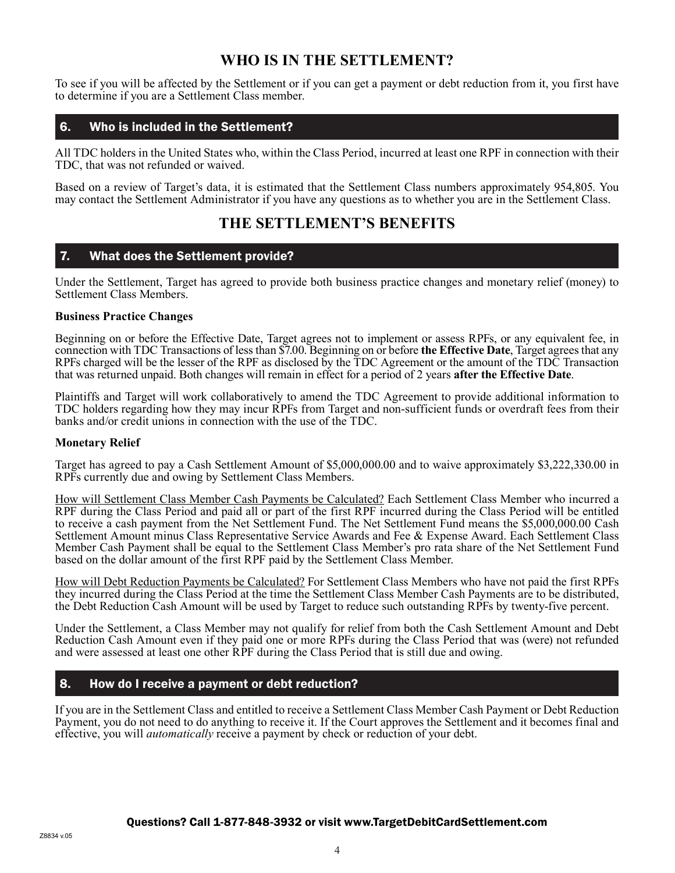# **WHO IS IN THE SETTLEMENT?**

To see if you will be affected by the Settlement or if you can get a payment or debt reduction from it, you first have to determine if you are a Settlement Class member.

### 6. Who is included in the Settlement?

All TDC holders in the United States who, within the Class Period, incurred at least one RPF in connection with their TDC, that was not refunded or waived.

Based on a review of Target's data, it is estimated that the Settlement Class numbers approximately 954,805. You may contact the Settlement Administrator if you have any questions as to whether you are in the Settlement Class.

### **THE SETTLEMENT'S BENEFITS**

#### 7. What does the Settlement provide?

Under the Settlement, Target has agreed to provide both business practice changes and monetary relief (money) to Settlement Class Members.

#### **Business Practice Changes**

Beginning on or before the Effective Date, Target agrees not to implement or assess RPFs, or any equivalent fee, in connection with TDC Transactions of less than \$7.00. Beginning on or before **the Effective Date**, Target agrees that any RPFs charged will be the lesser of the RPF as disclosed by the TDC Agreement or the amount of the TDC Transaction that was returned unpaid. Both changes will remain in effect for a period of 2 years **after the Effective Date**.

Plaintiffs and Target will work collaboratively to amend the TDC Agreement to provide additional information to TDC holders regarding how they may incur RPFs from Target and non-sufficient funds or overdraft fees from their banks and/or credit unions in connection with the use of the TDC.

#### **Monetary Relief**

Target has agreed to pay a Cash Settlement Amount of \$5,000,000.00 and to waive approximately \$3,222,330.00 in RPFs currently due and owing by Settlement Class Members.

How will Settlement Class Member Cash Payments be Calculated? Each Settlement Class Member who incurred a RPF during the Class Period and paid all or part of the first RPF incurred during the Class Period will be entitled to receive a cash payment from the Net Settlement Fund. The Net Settlement Fund means the \$5,000,000.00 Cash Settlement Amount minus Class Representative Service Awards and Fee & Expense Award. Each Settlement Class Member Cash Payment shall be equal to the Settlement Class Member's pro rata share of the Net Settlement Fund based on the dollar amount of the first RPF paid by the Settlement Class Member.

How will Debt Reduction Payments be Calculated? For Settlement Class Members who have not paid the first RPFs they incurred during the Class Period at the time the Settlement Class Member Cash Payments are to be distributed, the Debt Reduction Cash Amount will be used by Target to reduce such outstanding RPFs by twenty-five percent.

Under the Settlement, a Class Member may not qualify for relief from both the Cash Settlement Amount and Debt Reduction Cash Amount even if they paid one or more RPFs during the Class Period that was (were) not refunded and were assessed at least one other RPF during the Class Period that is still due and owing.

### 8. How do I receive a payment or debt reduction?

If you are in the Settlement Class and entitled to receive a Settlement Class Member Cash Payment or Debt Reduction Payment, you do not need to do anything to receive it. If the Court approves the Settlement and it becomes final and effective, you will *automatically* receive a payment by check or reduction of your debt.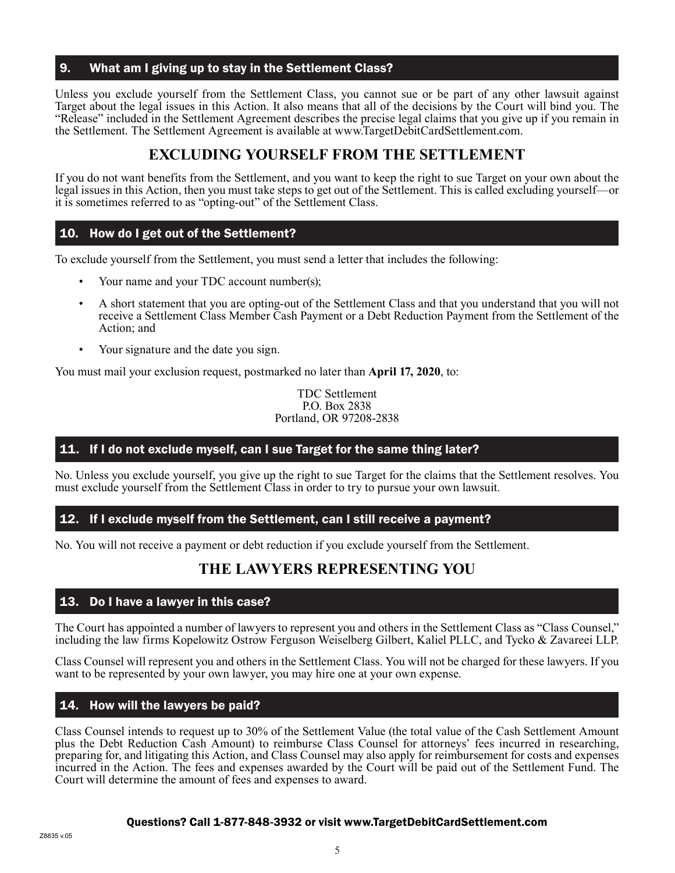#### 9. What am I giving up to stay in the Settlement Class?

Unless you exclude yourself from the Settlement Class, you cannot sue or be part of any other lawsuit against Target about the legal issues in this Action. It also means that all of the decisions by the Court will bind you. The "Release" included in the Settlement Agreement describes the precise legal claims that you give up if you remain in the Settlement. The Settlement Agreement is available at www.TargetDebitCardSettlement.com.

# **EXCLUDING YOURSELF FROM THE SETTLEMENT**

If you do not want benefits from the Settlement, and you want to keep the right to sue Target on your own about the legal issues in this Action, then you must take steps to get out of the Settlement. This is called excluding yourself—or it is sometimes referred to as "opting-out" of the Settlement Class.

### 10. How do I get out of the Settlement?

To exclude yourself from the Settlement, you must send a letter that includes the following:

- Your name and your TDC account number(s);
- A short statement that you are opting-out of the Settlement Class and that you understand that you will not receive a Settlement Class Member Cash Payment or a Debt Reduction Payment from the Settlement of the Action; and
- Your signature and the date you sign.

You must mail your exclusion request, postmarked no later than **April 17, 2020**, to:

TDC Settlement P.O. Box 2838 Portland, OR 97208-2838

#### 11. If I do not exclude myself, can I sue Target for the same thing later?

No. Unless you exclude yourself, you give up the right to sue Target for the claims that the Settlement resolves. You must exclude yourself from the Settlement Class in order to try to pursue your own lawsuit.

#### 12. If I exclude myself from the Settlement, can I still receive a payment?

No. You will not receive a payment or debt reduction if you exclude yourself from the Settlement.

# **THE LAWYERS REPRESENTING YOU**

#### 13. Do I have a lawyer in this case?

The Court has appointed a number of lawyers to represent you and others in the Settlement Class as "Class Counsel," including the law firms Kopelowitz Ostrow Ferguson Weiselberg Gilbert, Kaliel PLLC, and Tycko & Zavareei LLP.

Class Counsel will represent you and others in the Settlement Class. You will not be charged for these lawyers. If you want to be represented by your own lawyer, you may hire one at your own expense.

#### 14. How will the lawyers be paid?

Class Counsel intends to request up to 30% of the Settlement Value (the total value of the Cash Settlement Amount plus the Debt Reduction Cash Amount) to reimburse Class Counsel for attorneys' fees incurred in researching, preparing for, and litigating this Action, and Class Counsel may also apply for reimbursement for costs and expenses incurred in the Action. The fees and expenses awarded by the Court will be paid out of the Settlement Fund. The Court will determine the amount of fees and expenses to award.

#### Questions? Call 1-877-848-3932 or visit www.TargetDebitCardSettlement.com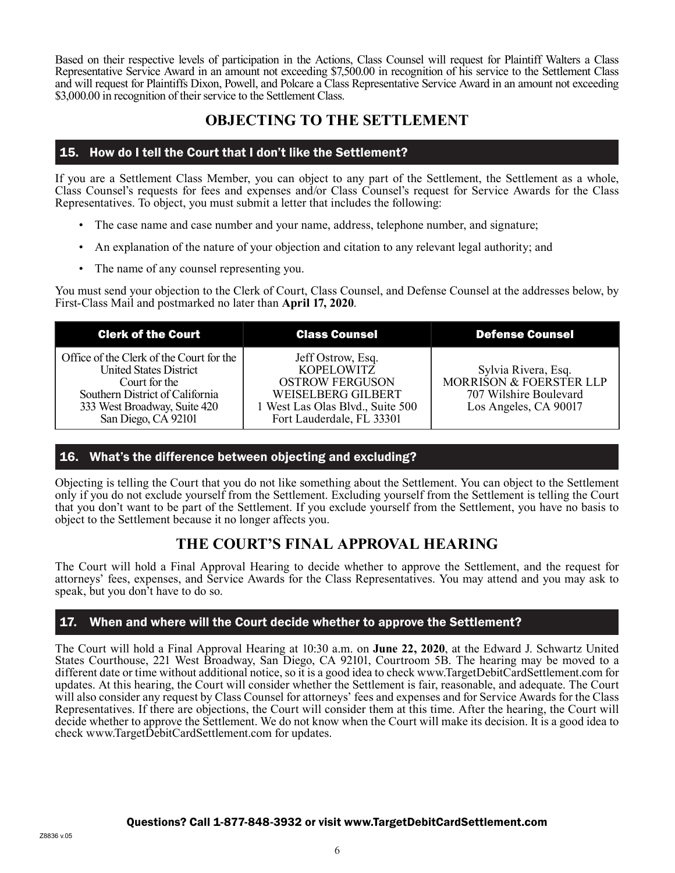Based on their respective levels of participation in the Actions, Class Counsel will request for Plaintiff Walters a Class Representative Service Award in an amount not exceeding \$7,500.00 in recognition of his service to the Settlement Class and will request for Plaintiffs Dixon, Powell, and Polcare a Class Representative Service Award in an amount not exceeding \$3,000.00 in recognition of their service to the Settlement Class.

# **OBJECTING TO THE SETTLEMENT**

### 15. How do I tell the Court that I don't like the Settlement?

If you are a Settlement Class Member, you can object to any part of the Settlement, the Settlement as a whole, Class Counsel's requests for fees and expenses and/or Class Counsel's request for Service Awards for the Class Representatives. To object, you must submit a letter that includes the following:

- The case name and case number and your name, address, telephone number, and signature;
- An explanation of the nature of your objection and citation to any relevant legal authority; and
- The name of any counsel representing you.

You must send your objection to the Clerk of Court, Class Counsel, and Defense Counsel at the addresses below, by First-Class Mail and postmarked no later than **April 17, 2020**.

| <b>Clerk of the Court</b>                                                                                                                                                            | <b>Class Counsel</b>                                                                                                                                           | <b>Defense Counsel</b>                                                                            |
|--------------------------------------------------------------------------------------------------------------------------------------------------------------------------------------|----------------------------------------------------------------------------------------------------------------------------------------------------------------|---------------------------------------------------------------------------------------------------|
| Office of the Clerk of the Court for the<br><b>United States District</b><br>Court for the<br>Southern District of California<br>333 West Broadway, Suite 420<br>San Diego, CA 92101 | Jeff Ostrow, Esq.<br><b>KOPELOWITZ</b><br><b>OSTROW FERGUSON</b><br><b>WEISELBERG GILBERT</b><br>1 West Las Olas Blvd., Suite 500<br>Fort Lauderdale, FL 33301 | Sylvia Rivera, Esq.<br>MORRISON & FOERSTER LLP<br>707 Wilshire Boulevard<br>Los Angeles, CA 90017 |

### 16. What's the difference between objecting and excluding?

Objecting is telling the Court that you do not like something about the Settlement. You can object to the Settlement only if you do not exclude yourself from the Settlement. Excluding yourself from the Settlement is telling the Court that you don't want to be part of the Settlement. If you exclude yourself from the Settlement, you have no basis to object to the Settlement because it no longer affects you.

# **THE COURT'S FINAL APPROVAL HEARING**

The Court will hold a Final Approval Hearing to decide whether to approve the Settlement, and the request for attorneys' fees, expenses, and Service Awards for the Class Representatives. You may attend and you may ask to speak, but you don't have to do so.

### 17. When and where will the Court decide whether to approve the Settlement?

The Court will hold a Final Approval Hearing at 10:30 a.m. on **June 22, 2020**, at the Edward J. Schwartz United States Courthouse, 221 West Broadway, San Diego, CA 92101, Courtroom 5B. The hearing may be moved to a different date or time without additional notice, so it is a good idea to check www.TargetDebitCardSettlement.com for updates. At this hearing, the Court will consider whether the Settlement is fair, reasonable, and adequate. The Court will also consider any request by Class Counsel for attorneys' fees and expenses and for Service Awards for the Class Representatives. If there are objections, the Court will consider them at this time. After the hearing, the Court will decide whether to approve the Settlement. We do not know when the Court will make its decision. It is a good idea to check www.TargetDebitCardSettlement.com for updates.